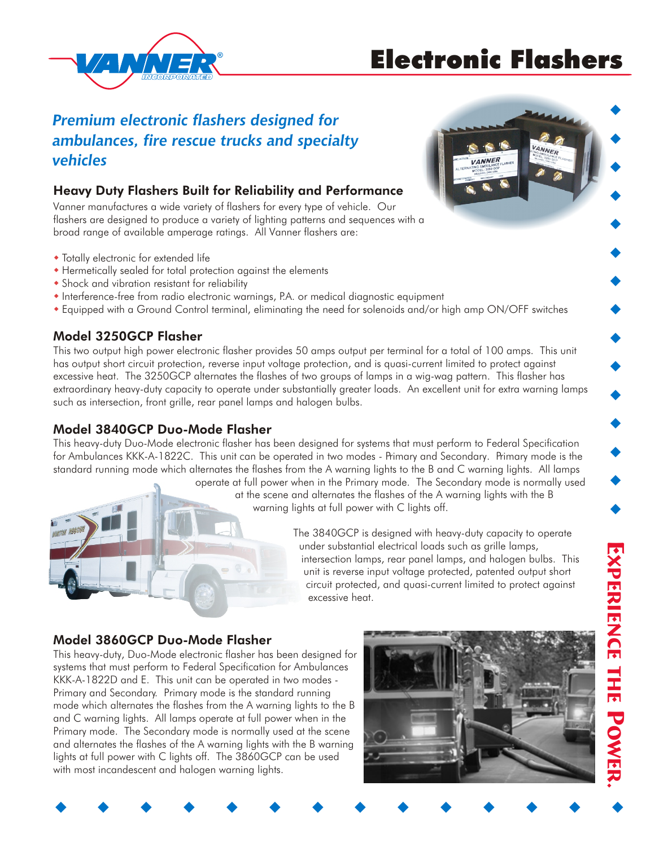# Electronic Flashers



## *Premium electronic flashers designed for ambulances, fire rescue trucks and specialty vehicles*

## Heavy Duty Flashers Built for Reliability and Performance

Vanner manufactures a wide variety of flashers for every type of vehicle. Our flashers are designed to produce a variety of lighting patterns and sequences with a broad range of available amperage ratings. All Vanner flashers are:

- Totally electronic for extended life
- Hermetically sealed for total protection against the elements
- Shock and vibration resistant for reliability
- Interference-free from radio electronic warnings, P.A. or medical diagnostic equipment
- Equipped with a Ground Control terminal, eliminating the need for solenoids and/or high amp ON/OFF switches w

## Model 3250GCP Flasher

This two output high power electronic flasher provides 50 amps output per terminal for a total of 100 amps. This unit has output short circuit protection, reverse input voltage protection, and is quasi-current limited to protect against excessive heat. The 3250GCP alternates the flashes of two groups of lamps in a wig-wag pattern. This flasher has extraordinary heavy-duty capacity to operate under substantially greater loads. An excellent unit for extra warning lamps such as intersection, front grille, rear panel lamps and halogen bulbs.

## Model 3840GCP Duo-Mode Flasher

This heavy-duty Duo-Mode electronic flasher has been designed for systems that must perform to Federal Specification for Ambulances KKK-A-1822C. This unit can be operated in two modes - Primary and Secondary. Primary mode is the standard running mode which alternates the flashes from the A warning lights to the B and C warning lights. All lamps

operate at full power when in the Primary mode. The Secondary mode is normally used at the scene and alternates the flashes of the A warning lights with the B warning lights at full power with C lights off.

> The 3840GCP is designed with heavy-duty capacity to operate under substantial electrical loads such as grille lamps, intersection lamps, rear panel lamps, and halogen bulbs. This unit is reverse input voltage protected, patented output short circuit protected, and quasi-current limited to protect against excessive heat.

## Model 3860GCP Duo-Mode Flasher

This heavy-duty, Duo-Mode electronic flasher has been designed for systems that must perform to Federal Specification for Ambulances KKK-A-1822D and E. This unit can be operated in two modes - Primary and Secondary. Primary mode is the standard running mode which alternates the flashes from the A warning lights to the B and C warning lights. All lamps operate at full power when in the Primary mode. The Secondary mode is normally used at the scene and alternates the flashes of the A warning lights with the B warning lights at full power with C lights off. The 3860GCP can be used with most incandescent and halogen warning lights.





 $\blacklozenge$ 

 $\blacklozenge$ 

 $\blacklozenge$ 

 $\blacklozenge$ 

 $\blacklozenge$ 

 $\blacklozenge$ 

 $\blacklozenge$ 

 $\blacklozenge$ 

 $\blacklozenge$